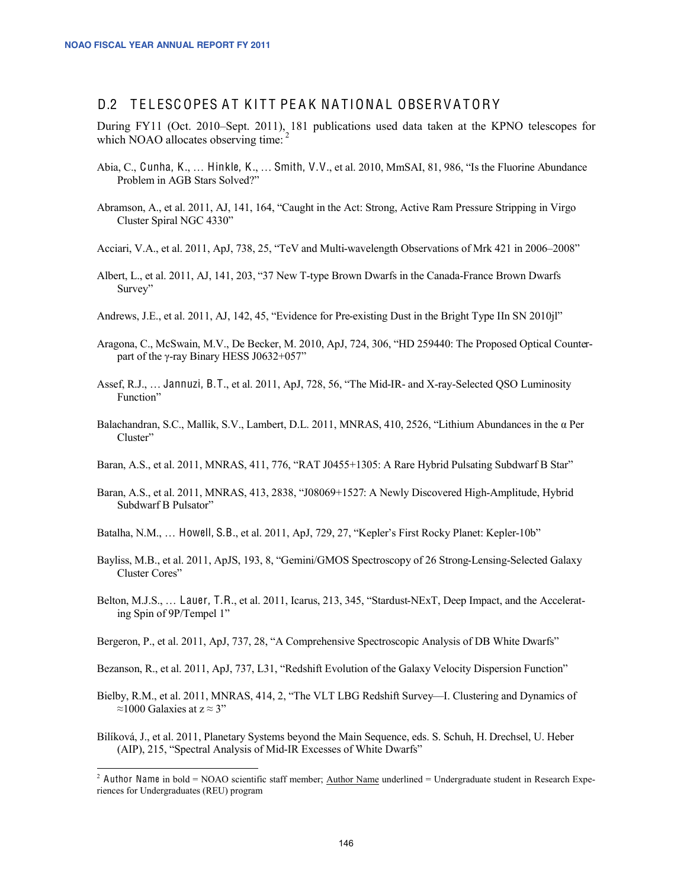## D.2 TELESCOPES AT KITT PEAK NATIONAL OBSERVATORY

During FY11 (Oct. 2010–Sept. 2011), 181 publications used data taken at the KPNO telescopes for which NOAO allocates observing time:<sup>2</sup>

- Abia, C., Cunha, K., … Hinkle, K., … Smith, V.V., et al. 2010, MmSAI, 81, 986, "Is the Fluorine Abundance Problem in AGB Stars Solved?"
- Abramson, A., et al. 2011, AJ, 141, 164, "Caught in the Act: Strong, Active Ram Pressure Stripping in Virgo Cluster Spiral NGC 4330"
- Acciari, V.A., et al. 2011, ApJ, 738, 25, "TeV and Multi-wavelength Observations of Mrk 421 in 2006–2008"
- Albert, L., et al. 2011, AJ, 141, 203, "37 New T-type Brown Dwarfs in the Canada-France Brown Dwarfs Survey"
- Andrews, J.E., et al. 2011, AJ, 142, 45, "Evidence for Pre-existing Dust in the Bright Type IIn SN 2010jl"
- Aragona, C., McSwain, M.V., De Becker, M. 2010, ApJ, 724, 306, "HD 259440: The Proposed Optical Counterpart of the γ-ray Binary HESS J0632+057"
- Assef, R.J., … Jannuzi, B.T., et al. 2011, ApJ, 728, 56, "The Mid-IR- and X-ray-Selected QSO Luminosity Function"
- Balachandran, S.C., Mallik, S.V., Lambert, D.L. 2011, MNRAS, 410, 2526, "Lithium Abundances in the α Per Cluster"
- Baran, A.S., et al. 2011, MNRAS, 411, 776, "RAT J0455+1305: A Rare Hybrid Pulsating Subdwarf B Star"
- Baran, A.S., et al. 2011, MNRAS, 413, 2838, "J08069+1527: A Newly Discovered High-Amplitude, Hybrid Subdwarf B Pulsator"
- Batalha, N.M., … Howell, S.B., et al. 2011, ApJ, 729, 27, "Kepler's First Rocky Planet: Kepler-10b"
- Bayliss, M.B., et al. 2011, ApJS, 193, 8, "Gemini/GMOS Spectroscopy of 26 Strong-Lensing-Selected Galaxy Cluster Cores"
- Belton, M.J.S., … Lauer, T.R., et al. 2011, Icarus, 213, 345, "Stardust-NExT, Deep Impact, and the Accelerating Spin of 9P/Tempel 1"
- Bergeron, P., et al. 2011, ApJ, 737, 28, "A Comprehensive Spectroscopic Analysis of DB White Dwarfs"
- Bezanson, R., et al. 2011, ApJ, 737, L31, "Redshift Evolution of the Galaxy Velocity Dispersion Function"
- Bielby, R.M., et al. 2011, MNRAS, 414, 2, "The VLT LBG Redshift Survey—I. Clustering and Dynamics of ≈1000 Galaxies at  $z \approx 3"$
- Bilíková, J., et al. 2011, Planetary Systems beyond the Main Sequence, eds. S. Schuh, H. Drechsel, U. Heber (AIP), 215, "Spectral Analysis of Mid-IR Excesses of White Dwarfs"

<sup>&</sup>lt;sup>2</sup> Author Name in bold = NOAO scientific staff member; Author Name underlined = Undergraduate student in Research Experiences for Undergraduates (REU) program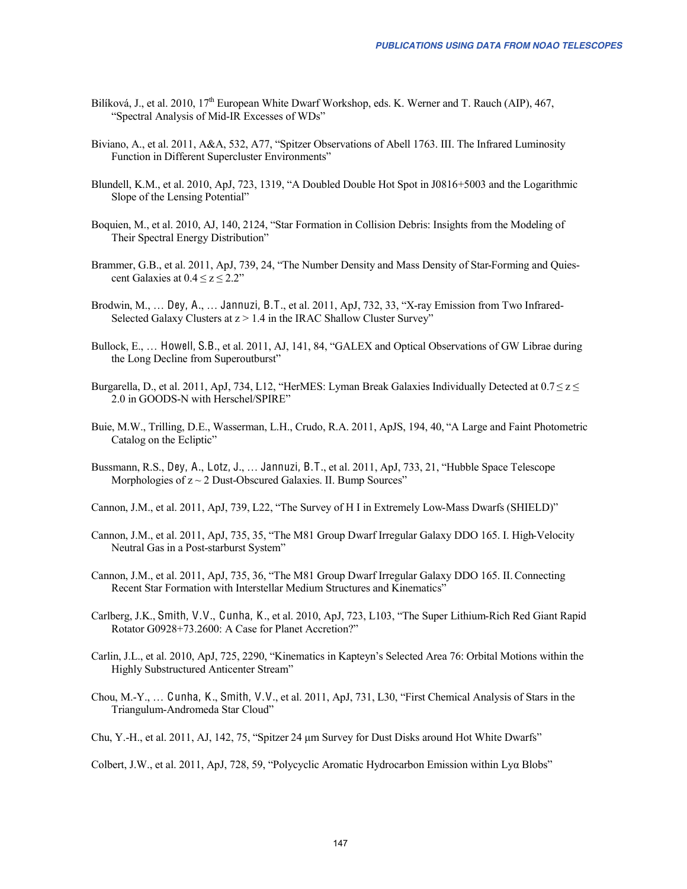- Bilíková, J., et al. 2010, 17<sup>th</sup> European White Dwarf Workshop, eds. K. Werner and T. Rauch (AIP), 467, "Spectral Analysis of Mid-IR Excesses of WDs"
- Biviano, A., et al. 2011, A&A, 532, A77, "Spitzer Observations of Abell 1763. III. The Infrared Luminosity Function in Different Supercluster Environments"
- Blundell, K.M., et al. 2010, ApJ, 723, 1319, "A Doubled Double Hot Spot in J0816+5003 and the Logarithmic Slope of the Lensing Potential"
- Boquien, M., et al. 2010, AJ, 140, 2124, "Star Formation in Collision Debris: Insights from the Modeling of Their Spectral Energy Distribution"
- Brammer, G.B., et al. 2011, ApJ, 739, 24, "The Number Density and Mass Density of Star-Forming and Quiescent Galaxies at  $0.4 \le z \le 2.2$ "
- Brodwin, M., … Dey, A., … Jannuzi, B.T., et al. 2011, ApJ, 732, 33, "X-ray Emission from Two Infrared-Selected Galaxy Clusters at  $z > 1.4$  in the IRAC Shallow Cluster Survey"
- Bullock, E., … Howell, S.B., et al. 2011, AJ, 141, 84, "GALEX and Optical Observations of GW Librae during the Long Decline from Superoutburst"
- Burgarella, D., et al. 2011, ApJ, 734, L12, "HerMES: Lyman Break Galaxies Individually Detected at  $0.7 \le z \le$ 2.0 in GOODS-N with Herschel/SPIRE"
- Buie, M.W., Trilling, D.E., Wasserman, L.H., Crudo, R.A. 2011, ApJS, 194, 40, "A Large and Faint Photometric Catalog on the Ecliptic"
- Bussmann, R.S., Dey, A., Lotz, J., … Jannuzi, B.T., et al. 2011, ApJ, 733, 21, "Hubble Space Telescope Morphologies of  $z \sim 2$  Dust-Obscured Galaxies. II. Bump Sources"
- Cannon, J.M., et al. 2011, ApJ, 739, L22, "The Survey of H I in Extremely Low-Mass Dwarfs (SHIELD)"
- Cannon, J.M., et al. 2011, ApJ, 735, 35, "The M81 Group Dwarf Irregular Galaxy DDO 165. I. High-Velocity Neutral Gas in a Post-starburst System"
- Cannon, J.M., et al. 2011, ApJ, 735, 36, "The M81 Group Dwarf Irregular Galaxy DDO 165. II.Connecting Recent Star Formation with Interstellar Medium Structures and Kinematics"
- Carlberg, J.K., Smith, V.V., Cunha, K., et al. 2010, ApJ, 723, L103, "The Super Lithium-Rich Red Giant Rapid Rotator G0928+73.2600: A Case for Planet Accretion?"
- Carlin, J.L., et al. 2010, ApJ, 725, 2290, "Kinematics in Kapteyn's Selected Area 76: Orbital Motions within the Highly Substructured Anticenter Stream"
- Chou, M.-Y., … Cunha, K., Smith, V.V., et al. 2011, ApJ, 731, L30, "First Chemical Analysis of Stars in the Triangulum-Andromeda Star Cloud"
- Chu, Y.-H., et al. 2011, AJ, 142, 75, "Spitzer 24 μm Survey for Dust Disks around Hot White Dwarfs"

Colbert, J.W., et al. 2011, ApJ, 728, 59, "Polycyclic Aromatic Hydrocarbon Emission within Lyα Blobs"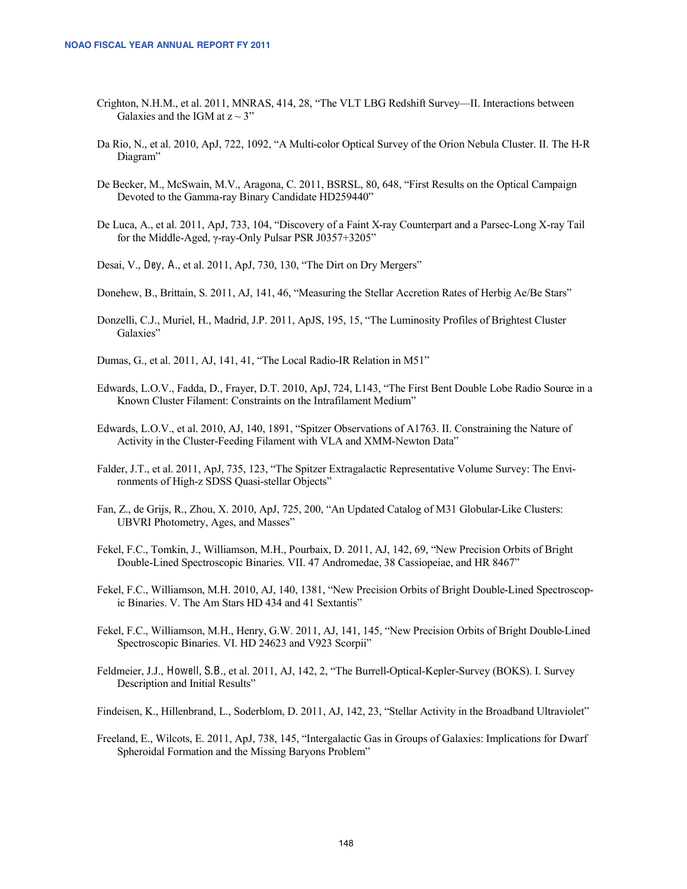- Crighton, N.H.M., et al. 2011, MNRAS, 414, 28, "The VLT LBG Redshift Survey—II. Interactions between Galaxies and the IGM at  $z \sim 3$ "
- Da Rio, N., et al. 2010, ApJ, 722, 1092, "A Multi-color Optical Survey of the Orion Nebula Cluster. II. The H-R Diagram"
- De Becker, M., McSwain, M.V., Aragona, C. 2011, BSRSL, 80, 648, "First Results on the Optical Campaign Devoted to the Gamma-ray Binary Candidate HD259440"
- De Luca, A., et al. 2011, ApJ, 733, 104, "Discovery of a Faint X-ray Counterpart and a Parsec-Long X-ray Tail for the Middle-Aged, γ-ray-Only Pulsar PSR J0357+3205"

Desai, V., Dey, A., et al. 2011, ApJ, 730, 130, "The Dirt on Dry Mergers"

Donehew, B., Brittain, S. 2011, AJ, 141, 46, "Measuring the Stellar Accretion Rates of Herbig Ae/Be Stars"

Donzelli, C.J., Muriel, H., Madrid, J.P. 2011, ApJS, 195, 15, "The Luminosity Profiles of Brightest Cluster Galaxies"

Dumas, G., et al. 2011, AJ, 141, 41, "The Local Radio-IR Relation in M51"

- Edwards, L.O.V., Fadda, D., Frayer, D.T. 2010, ApJ, 724, L143, "The First Bent Double Lobe Radio Source in a Known Cluster Filament: Constraints on the Intrafilament Medium"
- Edwards, L.O.V., et al. 2010, AJ, 140, 1891, "Spitzer Observations of A1763. II. Constraining the Nature of Activity in the Cluster-Feeding Filament with VLA and XMM-Newton Data"
- Falder, J.T., et al. 2011, ApJ, 735, 123, "The Spitzer Extragalactic Representative Volume Survey: The Environments of High-z SDSS Quasi-stellar Objects"
- Fan, Z., de Grijs, R., Zhou, X. 2010, ApJ, 725, 200, "An Updated Catalog of M31 Globular-Like Clusters: UBVRI Photometry, Ages, and Masses"
- Fekel, F.C., Tomkin, J., Williamson, M.H., Pourbaix, D. 2011, AJ, 142, 69, "New Precision Orbits of Bright Double-Lined Spectroscopic Binaries. VII. 47 Andromedae, 38 Cassiopeiae, and HR 8467"
- Fekel, F.C., Williamson, M.H. 2010, AJ, 140, 1381, "New Precision Orbits of Bright Double-Lined Spectroscopic Binaries. V. The Am Stars HD 434 and 41 Sextantis"
- Fekel, F.C., Williamson, M.H., Henry, G.W. 2011, AJ, 141, 145, "New Precision Orbits of Bright Double-Lined Spectroscopic Binaries. VI. HD 24623 and V923 Scorpii"
- Feldmeier, J.J., Howell, S.B., et al. 2011, AJ, 142, 2, "The Burrell-Optical-Kepler-Survey (BOKS). I. Survey Description and Initial Results"

Findeisen, K., Hillenbrand, L., Soderblom, D. 2011, AJ, 142, 23, "Stellar Activity in the Broadband Ultraviolet"

Freeland, E., Wilcots, E. 2011, ApJ, 738, 145, "Intergalactic Gas in Groups of Galaxies: Implications for Dwarf Spheroidal Formation and the Missing Baryons Problem"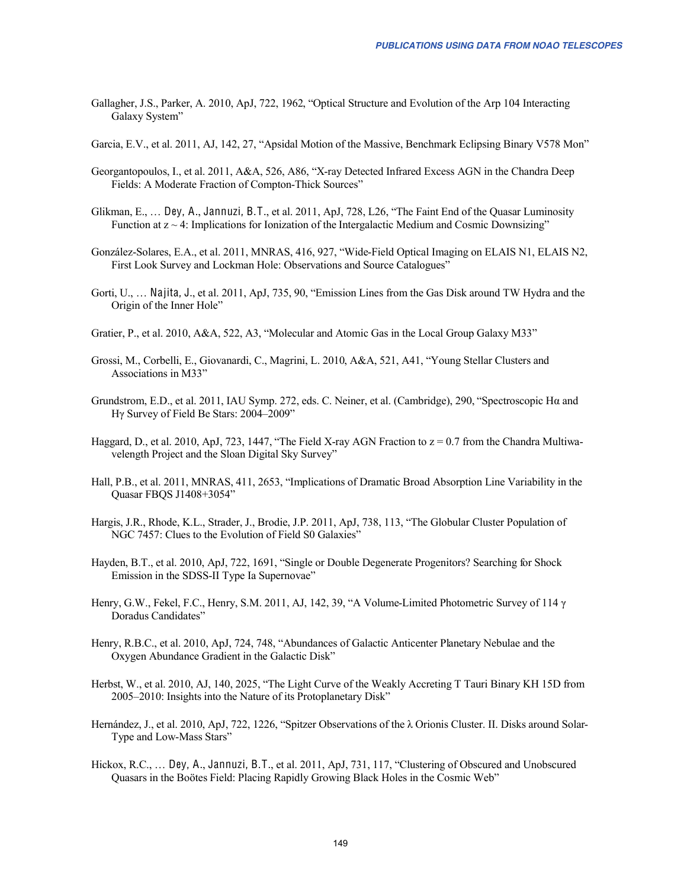Gallagher, J.S., Parker, A. 2010, ApJ, 722, 1962, "Optical Structure and Evolution of the Arp 104 Interacting Galaxy System"

Garcia, E.V., et al. 2011, AJ, 142, 27, "Apsidal Motion of the Massive, Benchmark Eclipsing Binary V578 Mon"

- Georgantopoulos, I., et al. 2011, A&A, 526, A86, "X-ray Detected Infrared Excess AGN in the Chandra Deep Fields: A Moderate Fraction of Compton-Thick Sources"
- Glikman, E., … Dey, A., Jannuzi, B.T., et al. 2011, ApJ, 728, L26, "The Faint End of the Quasar Luminosity Function at  $z \sim 4$ : Implications for Ionization of the Intergalactic Medium and Cosmic Downsizing"
- González-Solares, E.A., et al. 2011, MNRAS, 416, 927, "Wide-Field Optical Imaging on ELAIS N1, ELAIS N2, First Look Survey and Lockman Hole: Observations and Source Catalogues"
- Gorti, U., … Najita, J., et al. 2011, ApJ, 735, 90, "Emission Lines from the Gas Disk around TW Hydra and the Origin of the Inner Hole"
- Gratier, P., et al. 2010, A&A, 522, A3, "Molecular and Atomic Gas in the Local Group Galaxy M33"
- Grossi, M., Corbelli, E., Giovanardi, C., Magrini, L. 2010, A&A, 521, A41, "Young Stellar Clusters and Associations in M33"
- Grundstrom, E.D., et al. 2011, IAU Symp. 272, eds. C. Neiner, et al. (Cambridge), 290, "Spectroscopic Hα and Hγ Survey of Field Be Stars: 2004–2009"
- Haggard, D., et al. 2010, ApJ, 723, 1447, "The Field X-ray AGN Fraction to  $z = 0.7$  from the Chandra Multiwavelength Project and the Sloan Digital Sky Survey"
- Hall, P.B., et al. 2011, MNRAS, 411, 2653, "Implications of Dramatic Broad Absorption Line Variability in the Quasar FBQS J1408+3054"
- Hargis, J.R., Rhode, K.L., Strader, J., Brodie, J.P. 2011, ApJ, 738, 113, "The Globular Cluster Population of NGC 7457: Clues to the Evolution of Field S0 Galaxies"
- Hayden, B.T., et al. 2010, ApJ, 722, 1691, "Single or Double Degenerate Progenitors? Searching for Shock Emission in the SDSS-II Type Ia Supernovae"
- Henry, G.W., Fekel, F.C., Henry, S.M. 2011, AJ, 142, 39, "A Volume-Limited Photometric Survey of 114 γ Doradus Candidates"
- Henry, R.B.C., et al. 2010, ApJ, 724, 748, "Abundances of Galactic Anticenter Planetary Nebulae and the Oxygen Abundance Gradient in the Galactic Disk"
- Herbst, W., et al. 2010, AJ, 140, 2025, "The Light Curve of the Weakly Accreting T Tauri Binary KH 15D from 2005–2010: Insights into the Nature of its Protoplanetary Disk"
- Hernández, J., et al. 2010, ApJ, 722, 1226, "Spitzer Observations of the λ Orionis Cluster. II. Disks around Solar-Type and Low-Mass Stars"
- Hickox, R.C., … Dey, A., Jannuzi, B.T., et al. 2011, ApJ, 731, 117, "Clustering of Obscured and Unobscured Quasars in the Boötes Field: Placing Rapidly Growing Black Holes in the Cosmic Web"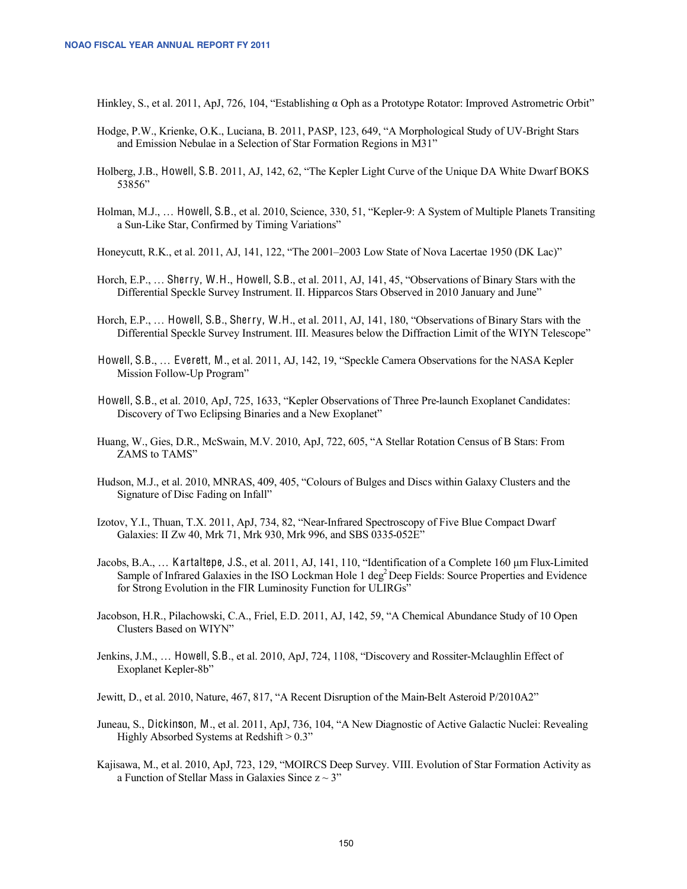Hinkley, S., et al. 2011, ApJ, 726, 104, "Establishing α Oph as a Prototype Rotator: Improved Astrometric Orbit"

- Hodge, P.W., Krienke, O.K., Luciana, B. 2011, PASP, 123, 649, "A Morphological Study of UV-Bright Stars and Emission Nebulae in a Selection of Star Formation Regions in M31"
- Holberg, J.B., Howell, S.B. 2011, AJ, 142, 62, "The Kepler Light Curve of the Unique DA White Dwarf BOKS 53856"
- Holman, M.J., … Howell, S.B., et al. 2010, Science, 330, 51, "Kepler-9: A System of Multiple Planets Transiting a Sun-Like Star, Confirmed by Timing Variations"

Honeycutt, R.K., et al. 2011, AJ, 141, 122, "The 2001–2003 Low State of Nova Lacertae 1950 (DK Lac)"

- Horch, E.P., … Sherry, W.H., Howell, S.B., et al. 2011, AJ, 141, 45, "Observations of Binary Stars with the Differential Speckle Survey Instrument. II. Hipparcos Stars Observed in 2010 January and June"
- Horch, E.P., … Howell, S.B., Sherry, W.H., et al. 2011, AJ, 141, 180, "Observations of Binary Stars with the Differential Speckle Survey Instrument. III. Measures below the Diffraction Limit of the WIYN Telescope"
- Howell, S.B., … Everett, M., et al. 2011, AJ, 142, 19, "Speckle Camera Observations for the NASA Kepler Mission Follow-Up Program"
- Howell, S.B., et al. 2010, ApJ, 725, 1633, "Kepler Observations of Three Pre-launch Exoplanet Candidates: Discovery of Two Eclipsing Binaries and a New Exoplanet"
- Huang, W., Gies, D.R., McSwain, M.V. 2010, ApJ, 722, 605, "A Stellar Rotation Census of B Stars: From ZAMS to TAMS"
- Hudson, M.J., et al. 2010, MNRAS, 409, 405, "Colours of Bulges and Discs within Galaxy Clusters and the Signature of Disc Fading on Infall"
- Izotov, Y.I., Thuan, T.X. 2011, ApJ, 734, 82, "Near-Infrared Spectroscopy of Five Blue Compact Dwarf Galaxies: II Zw 40, Mrk 71, Mrk 930, Mrk 996, and SBS 0335-052E"
- Jacobs, B.A., … Kartaltepe, J.S., et al. 2011, AJ, 141, 110, "Identification of a Complete 160 μm Flux-Limited Sample of Infrared Galaxies in the ISO Lockman Hole  $1 \text{ deg}^2$  Deep Fields: Source Properties and Evidence for Strong Evolution in the FIR Luminosity Function for ULIRGs"
- Jacobson, H.R., Pilachowski, C.A., Friel, E.D. 2011, AJ, 142, 59, "A Chemical Abundance Study of 10 Open Clusters Based on WIYN"
- Jenkins, J.M., … Howell, S.B., et al. 2010, ApJ, 724, 1108, "Discovery and Rossiter-Mclaughlin Effect of Exoplanet Kepler-8b"

Jewitt, D., et al. 2010, Nature, 467, 817, "A Recent Disruption of the Main-Belt Asteroid P/2010A2"

- Juneau, S., Dickinson, M., et al. 2011, ApJ, 736, 104, "A New Diagnostic of Active Galactic Nuclei: Revealing Highly Absorbed Systems at Redshift  $> 0.3$ "
- Kajisawa, M., et al. 2010, ApJ, 723, 129, "MOIRCS Deep Survey. VIII. Evolution of Star Formation Activity as a Function of Stellar Mass in Galaxies Since  $z \sim 3$ "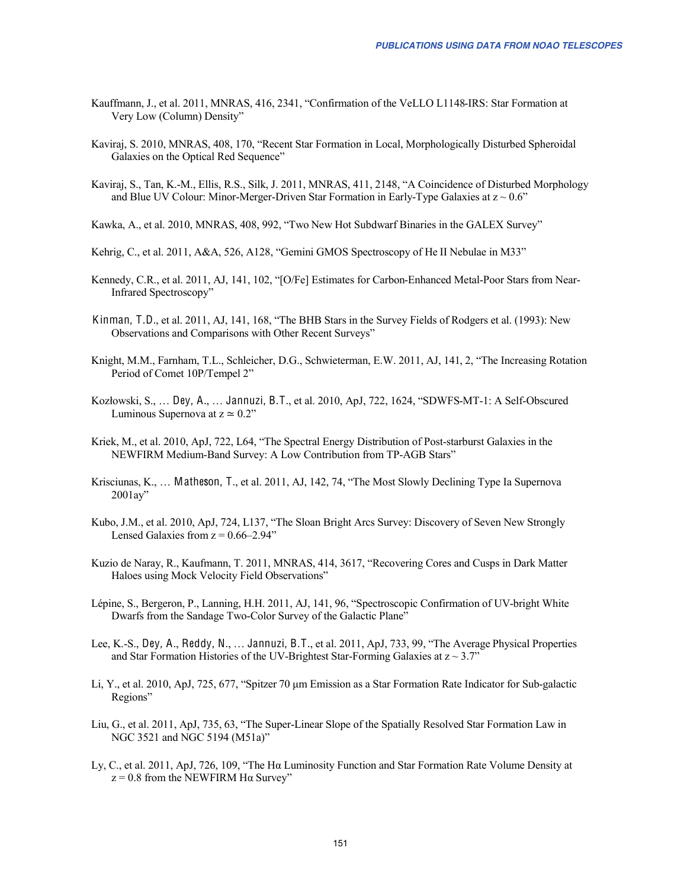- Kauffmann, J., et al. 2011, MNRAS, 416, 2341, "Confirmation of the VeLLO L1148-IRS: Star Formation at Very Low (Column) Density"
- Kaviraj, S. 2010, MNRAS, 408, 170, "Recent Star Formation in Local, Morphologically Disturbed Spheroidal Galaxies on the Optical Red Sequence"
- Kaviraj, S., Tan, K.-M., Ellis, R.S., Silk, J. 2011, MNRAS, 411, 2148, "A Coincidence of Disturbed Morphology and Blue UV Colour: Minor-Merger-Driven Star Formation in Early-Type Galaxies at  $z \sim 0.6$ "
- Kawka, A., et al. 2010, MNRAS, 408, 992, "Two New Hot Subdwarf Binaries in the GALEX Survey"
- Kehrig, C., et al. 2011, A&A, 526, A128, "Gemini GMOS Spectroscopy of He II Nebulae in M33"
- Kennedy, C.R., et al. 2011, AJ, 141, 102, "[O/Fe] Estimates for Carbon-Enhanced Metal-Poor Stars from Near-Infrared Spectroscopy"
- Kinman, T.D., et al. 2011, AJ, 141, 168, "The BHB Stars in the Survey Fields of Rodgers et al. (1993): New Observations and Comparisons with Other Recent Surveys"
- Knight, M.M., Farnham, T.L., Schleicher, D.G., Schwieterman, E.W. 2011, AJ, 141, 2, "The Increasing Rotation Period of Comet 10P/Tempel 2"
- Kozłowski, S., … Dey, A., … Jannuzi, B.T., et al. 2010, ApJ, 722, 1624, "SDWFS-MT-1: A Self-Obscured Luminous Supernova at  $z \approx 0.2$ "
- Kriek, M., et al. 2010, ApJ, 722, L64, "The Spectral Energy Distribution of Post-starburst Galaxies in the NEWFIRM Medium-Band Survey: A Low Contribution from TP-AGB Stars"
- Krisciunas, K., … Matheson, T., et al. 2011, AJ, 142, 74, "The Most Slowly Declining Type Ia Supernova 2001ay"
- Kubo, J.M., et al. 2010, ApJ, 724, L137, "The Sloan Bright Arcs Survey: Discovery of Seven New Strongly Lensed Galaxies from  $z = 0.66 - 2.94$ "
- Kuzio de Naray, R., Kaufmann, T. 2011, MNRAS, 414, 3617, "Recovering Cores and Cusps in Dark Matter Haloes using Mock Velocity Field Observations"
- Lépine, S., Bergeron, P., Lanning, H.H. 2011, AJ, 141, 96, "Spectroscopic Confirmation of UV-bright White Dwarfs from the Sandage Two-Color Survey of the Galactic Plane"
- Lee, K.-S., Dey, A., Reddy, N., … Jannuzi, B.T., et al. 2011, ApJ, 733, 99, "The Average Physical Properties and Star Formation Histories of the UV-Brightest Star-Forming Galaxies at  $z \sim 3.7$ "
- Li, Y., et al. 2010, ApJ, 725, 677, "Spitzer 70 μm Emission as a Star Formation Rate Indicator for Sub-galactic Regions"
- Liu, G., et al. 2011, ApJ, 735, 63, "The Super-Linear Slope of the Spatially Resolved Star Formation Law in NGC 3521 and NGC 5194 (M51a)"
- Ly, C., et al. 2011, ApJ, 726, 109, "The Hα Luminosity Function and Star Formation Rate Volume Density at  $z = 0.8$  from the NEWFIRM H $\alpha$  Survey"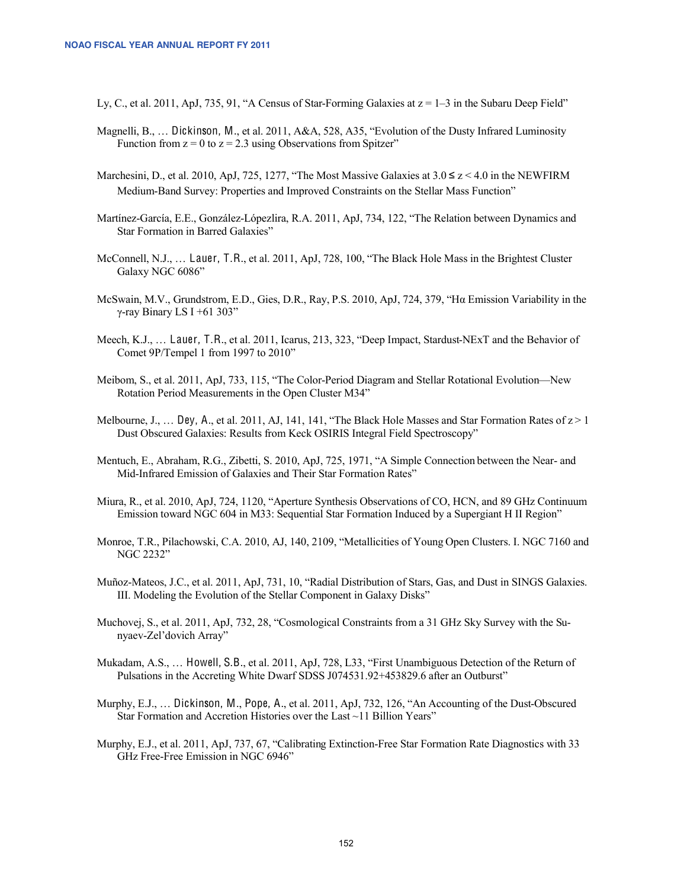Ly, C., et al. 2011, ApJ, 735, 91, "A Census of Star-Forming Galaxies at  $z = 1-3$  in the Subaru Deep Field"

- Magnelli, B., … Dickinson, M., et al. 2011, A&A, 528, A35, "Evolution of the Dusty Infrared Luminosity Function from  $z = 0$  to  $z = 2.3$  using Observations from Spitzer"
- Marchesini, D., et al. 2010, ApJ, 725, 1277, "The Most Massive Galaxies at  $3.0 \le z \le 4.0$  in the NEWFIRM Medium-Band Survey: Properties and Improved Constraints on the Stellar Mass Function"
- Martínez-García, E.E., González-Lópezlira, R.A. 2011, ApJ, 734, 122, "The Relation between Dynamics and Star Formation in Barred Galaxies"
- McConnell, N.J., … Lauer, T.R., et al. 2011, ApJ, 728, 100, "The Black Hole Mass in the Brightest Cluster Galaxy NGC 6086"
- McSwain, M.V., Grundstrom, E.D., Gies, D.R., Ray, P.S. 2010, ApJ, 724, 379, "Hα Emission Variability in the γ-ray Binary LS I +61 303"
- Meech, K.J., … Lauer, T.R., et al. 2011, Icarus, 213, 323, "Deep Impact, Stardust-NExT and the Behavior of Comet 9P/Tempel 1 from 1997 to 2010"
- Meibom, S., et al. 2011, ApJ, 733, 115, "The Color-Period Diagram and Stellar Rotational Evolution—New Rotation Period Measurements in the Open Cluster M34"
- Melbourne, J., ... Dey, A., et al. 2011, AJ, 141, 141, "The Black Hole Masses and Star Formation Rates of  $z > 1$ Dust Obscured Galaxies: Results from Keck OSIRIS Integral Field Spectroscopy"
- Mentuch, E., Abraham, R.G., Zibetti, S. 2010, ApJ, 725, 1971, "A Simple Connection between the Near- and Mid-Infrared Emission of Galaxies and Their Star Formation Rates"
- Miura, R., et al. 2010, ApJ, 724, 1120, "Aperture Synthesis Observations of CO, HCN, and 89 GHz Continuum Emission toward NGC 604 in M33: Sequential Star Formation Induced by a Supergiant H II Region"
- Monroe, T.R., Pilachowski, C.A. 2010, AJ, 140, 2109, "Metallicities of Young Open Clusters. I. NGC 7160 and NGC 2232"
- Muñoz-Mateos, J.C., et al. 2011, ApJ, 731, 10, "Radial Distribution of Stars, Gas, and Dust in SINGS Galaxies. III. Modeling the Evolution of the Stellar Component in Galaxy Disks"
- Muchovej, S., et al. 2011, ApJ, 732, 28, "Cosmological Constraints from a 31 GHz Sky Survey with the Sunyaev-Zel'dovich Array"
- Mukadam, A.S., … Howell, S.B., et al. 2011, ApJ, 728, L33, "First Unambiguous Detection of the Return of Pulsations in the Accreting White Dwarf SDSS J074531.92+453829.6 after an Outburst"
- Murphy, E.J., … Dickinson, M., Pope, A., et al. 2011, ApJ, 732, 126, "An Accounting of the Dust-Obscured Star Formation and Accretion Histories over the Last ~11 Billion Years"
- Murphy, E.J., et al. 2011, ApJ, 737, 67, "Calibrating Extinction-Free Star Formation Rate Diagnostics with 33 GHz Free-Free Emission in NGC 6946"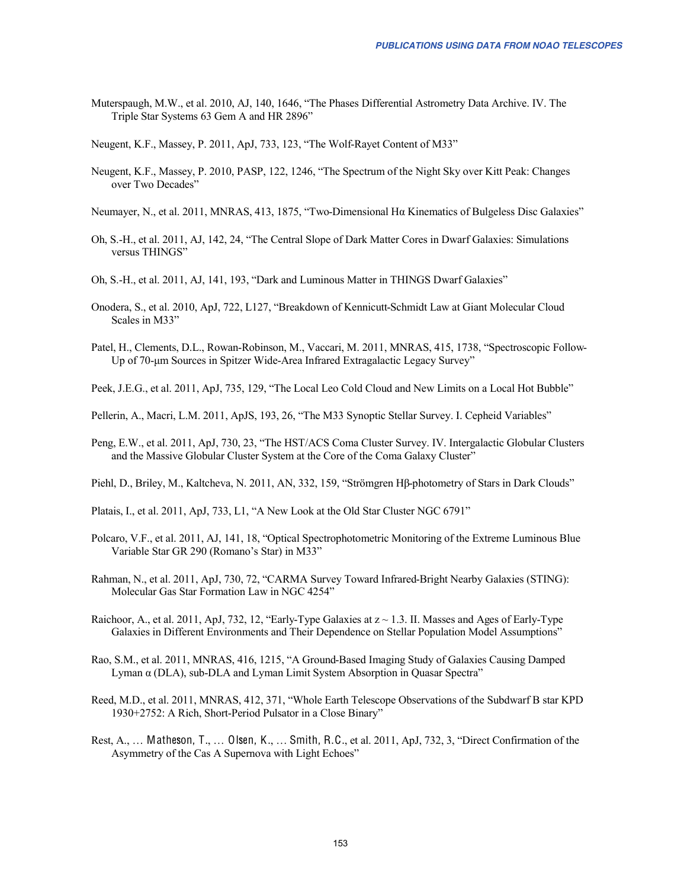Muterspaugh, M.W., et al. 2010, AJ, 140, 1646, "The Phases Differential Astrometry Data Archive. IV. The Triple Star Systems 63 Gem A and HR 2896"

Neugent, K.F., Massey, P. 2011, ApJ, 733, 123, "The Wolf-Rayet Content of M33"

- Neugent, K.F., Massey, P. 2010, PASP, 122, 1246, "The Spectrum of the Night Sky over Kitt Peak: Changes over Two Decades"
- Neumayer, N., et al. 2011, MNRAS, 413, 1875, "Two-Dimensional Hα Kinematics of Bulgeless Disc Galaxies"
- Oh, S.-H., et al. 2011, AJ, 142, 24, "The Central Slope of Dark Matter Cores in Dwarf Galaxies: Simulations versus THINGS"
- Oh, S.-H., et al. 2011, AJ, 141, 193, "Dark and Luminous Matter in THINGS Dwarf Galaxies"
- Onodera, S., et al. 2010, ApJ, 722, L127, "Breakdown of Kennicutt-Schmidt Law at Giant Molecular Cloud Scales in M33"
- Patel, H., Clements, D.L., Rowan-Robinson, M., Vaccari, M. 2011, MNRAS, 415, 1738, "Spectroscopic Follow-Up of 70-μm Sources in Spitzer Wide-Area Infrared Extragalactic Legacy Survey"

Peek, J.E.G., et al. 2011, ApJ, 735, 129, "The Local Leo Cold Cloud and New Limits on a Local Hot Bubble"

Pellerin, A., Macri, L.M. 2011, ApJS, 193, 26, "The M33 Synoptic Stellar Survey. I. Cepheid Variables"

Peng, E.W., et al. 2011, ApJ, 730, 23, "The HST/ACS Coma Cluster Survey. IV. Intergalactic Globular Clusters and the Massive Globular Cluster System at the Core of the Coma Galaxy Cluster"

Piehl, D., Briley, M., Kaltcheva, N. 2011, AN, 332, 159, "Strömgren Hβ-photometry of Stars in Dark Clouds"

Platais, I., et al. 2011, ApJ, 733, L1, "A New Look at the Old Star Cluster NGC 6791"

- Polcaro, V.F., et al. 2011, AJ, 141, 18, "Optical Spectrophotometric Monitoring of the Extreme Luminous Blue Variable Star GR 290 (Romano's Star) in M33"
- Rahman, N., et al. 2011, ApJ, 730, 72, "CARMA Survey Toward Infrared-Bright Nearby Galaxies (STING): Molecular Gas Star Formation Law in NGC 4254"
- Raichoor, A., et al. 2011, ApJ, 732, 12, "Early-Type Galaxies at  $z \sim 1.3$ . II. Masses and Ages of Early-Type Galaxies in Different Environments and Their Dependence on Stellar Population Model Assumptions"
- Rao, S.M., et al. 2011, MNRAS, 416, 1215, "A Ground-Based Imaging Study of Galaxies Causing Damped Lyman α (DLA), sub-DLA and Lyman Limit System Absorption in Quasar Spectra"
- Reed, M.D., et al. 2011, MNRAS, 412, 371, "Whole Earth Telescope Observations of the Subdwarf B star KPD 1930+2752: A Rich, Short-Period Pulsator in a Close Binary"
- Rest, A., ... Matheson, T., ... Olsen, K., ... Smith, R.C., et al. 2011, ApJ, 732, 3, "Direct Confirmation of the Asymmetry of the Cas A Supernova with Light Echoes"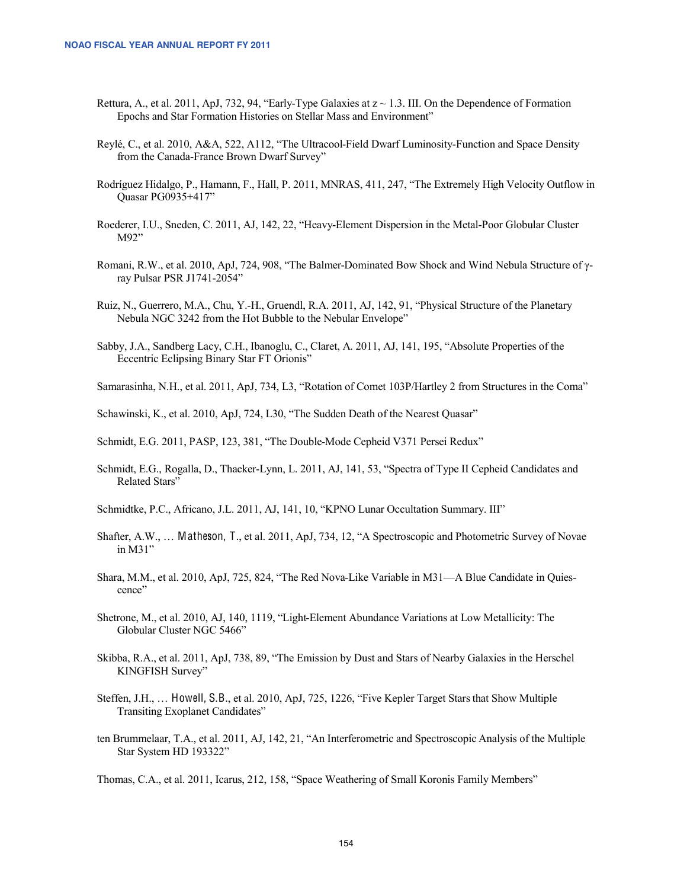- Rettura, A., et al. 2011, ApJ, 732, 94, "Early-Type Galaxies at  $z \sim 1.3$ . III. On the Dependence of Formation Epochs and Star Formation Histories on Stellar Mass and Environment"
- Reylé, C., et al. 2010, A&A, 522, A112, "The Ultracool-Field Dwarf Luminosity-Function and Space Density from the Canada-France Brown Dwarf Survey"
- Rodríguez Hidalgo, P., Hamann, F., Hall, P. 2011, MNRAS, 411, 247, "The Extremely High Velocity Outflow in Quasar PG0935+417"
- Roederer, I.U., Sneden, C. 2011, AJ, 142, 22, "Heavy-Element Dispersion in the Metal-Poor Globular Cluster M92"
- Romani, R.W., et al. 2010, ApJ, 724, 908, "The Balmer-Dominated Bow Shock and Wind Nebula Structure of γray Pulsar PSR J1741-2054"
- Ruiz, N., Guerrero, M.A., Chu, Y.-H., Gruendl, R.A. 2011, AJ, 142, 91, "Physical Structure of the Planetary Nebula NGC 3242 from the Hot Bubble to the Nebular Envelope"
- Sabby, J.A., Sandberg Lacy, C.H., Ibanoglu, C., Claret, A. 2011, AJ, 141, 195, "Absolute Properties of the Eccentric Eclipsing Binary Star FT Orionis"
- Samarasinha, N.H., et al. 2011, ApJ, 734, L3, "Rotation of Comet 103P/Hartley 2 from Structures in the Coma"
- Schawinski, K., et al. 2010, ApJ, 724, L30, "The Sudden Death of the Nearest Quasar"

Schmidt, E.G. 2011, PASP, 123, 381, "The Double-Mode Cepheid V371 Persei Redux"

- Schmidt, E.G., Rogalla, D., Thacker-Lynn, L. 2011, AJ, 141, 53, "Spectra of Type II Cepheid Candidates and Related Stars"
- Schmidtke, P.C., Africano, J.L. 2011, AJ, 141, 10, "KPNO Lunar Occultation Summary. III"
- Shafter, A.W., … Matheson, T., et al. 2011, ApJ, 734, 12, "A Spectroscopic and Photometric Survey of Novae in M31"
- Shara, M.M., et al. 2010, ApJ, 725, 824, "The Red Nova-Like Variable in M31—A Blue Candidate in Quiescence"
- Shetrone, M., et al. 2010, AJ, 140, 1119, "Light-Element Abundance Variations at Low Metallicity: The Globular Cluster NGC 5466"
- Skibba, R.A., et al. 2011, ApJ, 738, 89, "The Emission by Dust and Stars of Nearby Galaxies in the Herschel KINGFISH Survey"
- Steffen, J.H., … Howell, S.B., et al. 2010, ApJ, 725, 1226, "Five Kepler Target Stars that Show Multiple Transiting Exoplanet Candidates"
- ten Brummelaar, T.A., et al. 2011, AJ, 142, 21, "An Interferometric and Spectroscopic Analysis of the Multiple Star System HD 193322"

Thomas, C.A., et al. 2011, Icarus, 212, 158, "Space Weathering of Small Koronis Family Members"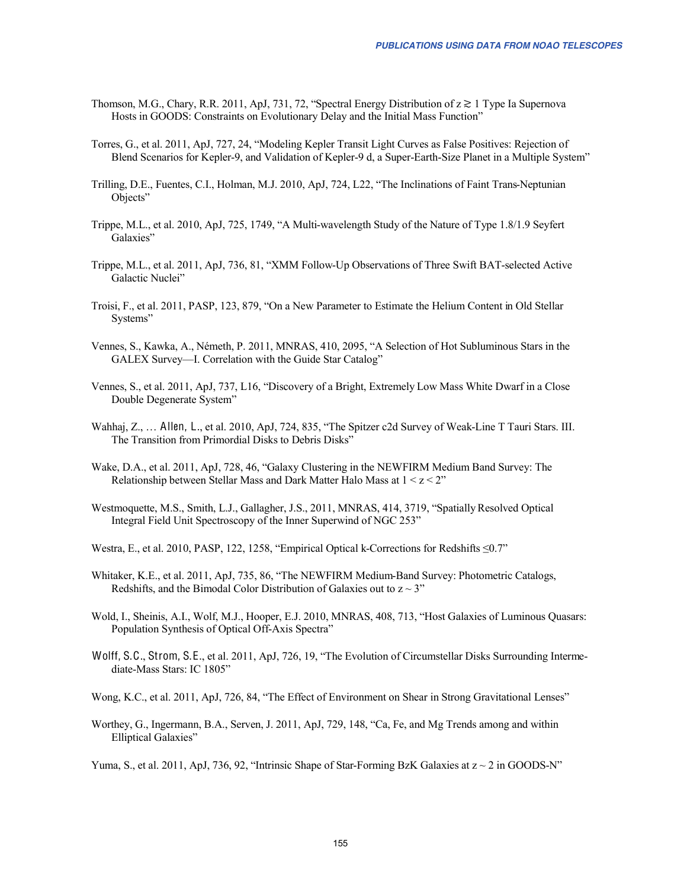- Thomson, M.G., Chary, R.R. 2011, ApJ, 731, 72, "Spectral Energy Distribution of z ≳ 1 Type Ia Supernova Hosts in GOODS: Constraints on Evolutionary Delay and the Initial Mass Function"
- Torres, G., et al. 2011, ApJ, 727, 24, "Modeling Kepler Transit Light Curves as False Positives: Rejection of Blend Scenarios for Kepler-9, and Validation of Kepler-9 d, a Super-Earth-Size Planet in a Multiple System"
- Trilling, D.E., Fuentes, C.I., Holman, M.J. 2010, ApJ, 724, L22, "The Inclinations of Faint Trans-Neptunian Objects"
- Trippe, M.L., et al. 2010, ApJ, 725, 1749, "A Multi-wavelength Study of the Nature of Type 1.8/1.9 Seyfert Galaxies"
- Trippe, M.L., et al. 2011, ApJ, 736, 81, "XMM Follow-Up Observations of Three Swift BAT-selected Active Galactic Nuclei"
- Troisi, F., et al. 2011, PASP, 123, 879, "On a New Parameter to Estimate the Helium Content in Old Stellar Systems"
- Vennes, S., Kawka, A., Németh, P. 2011, MNRAS, 410, 2095, "A Selection of Hot Subluminous Stars in the GALEX Survey—I. Correlation with the Guide Star Catalog"
- Vennes, S., et al. 2011, ApJ, 737, L16, "Discovery of a Bright, Extremely Low Mass White Dwarf in a Close Double Degenerate System"
- Wahhaj, Z., … Allen, L., et al. 2010, ApJ, 724, 835, "The Spitzer c2d Survey of Weak-Line T Tauri Stars. III. The Transition from Primordial Disks to Debris Disks"
- Wake, D.A., et al. 2011, ApJ, 728, 46, "Galaxy Clustering in the NEWFIRM Medium Band Survey: The Relationship between Stellar Mass and Dark Matter Halo Mass at  $1 \le z \le 2$ "
- Westmoquette, M.S., Smith, L.J., Gallagher, J.S., 2011, MNRAS, 414, 3719, "Spatially Resolved Optical Integral Field Unit Spectroscopy of the Inner Superwind of NGC 253"
- Westra, E., et al. 2010, PASP, 122, 1258, "Empirical Optical k-Corrections for Redshifts ≤0.7"
- Whitaker, K.E., et al. 2011, ApJ, 735, 86, "The NEWFIRM Medium-Band Survey: Photometric Catalogs, Redshifts, and the Bimodal Color Distribution of Galaxies out to  $z \sim 3$ "
- Wold, I., Sheinis, A.I., Wolf, M.J., Hooper, E.J. 2010, MNRAS, 408, 713, "Host Galaxies of Luminous Quasars: Population Synthesis of Optical Off-Axis Spectra"
- Wolff, S.C., Strom, S.E., et al. 2011, ApJ, 726, 19, "The Evolution of Circumstellar Disks Surrounding Intermediate-Mass Stars: IC 1805"
- Wong, K.C., et al. 2011, ApJ, 726, 84, "The Effect of Environment on Shear in Strong Gravitational Lenses"
- Worthey, G., Ingermann, B.A., Serven, J. 2011, ApJ, 729, 148, "Ca, Fe, and Mg Trends among and within Elliptical Galaxies"

Yuma, S., et al. 2011, ApJ, 736, 92, "Intrinsic Shape of Star-Forming BzK Galaxies at  $z \sim 2$  in GOODS-N"